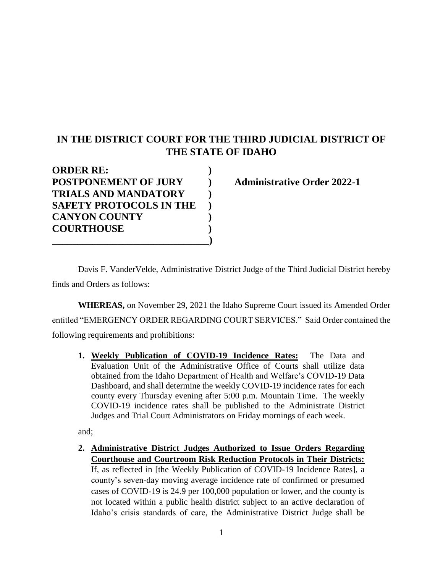## **IN THE DISTRICT COURT FOR THE THIRD JUDICIAL DISTRICT OF THE STATE OF IDAHO**

| <b>ORDER RE:</b>               |  |
|--------------------------------|--|
| <b>POSTPONEMENT OF JURY</b>    |  |
| <b>TRIALS AND MANDATORY</b>    |  |
| <b>SAFETY PROTOCOLS IN THE</b> |  |
| <b>CANYON COUNTY</b>           |  |
| <b>COURTHOUSE</b>              |  |
|                                |  |

**Administrative Order 2022-1** 

Davis F. VanderVelde, Administrative District Judge of the Third Judicial District hereby finds and Orders as follows:

**WHEREAS,** on November 29, 2021 the Idaho Supreme Court issued its Amended Order entitled "EMERGENCY ORDER REGARDING COURT SERVICES." Said Order contained the following requirements and prohibitions:

**1. Weekly Publication of COVID-19 Incidence Rates:** The Data and Evaluation Unit of the Administrative Office of Courts shall utilize data obtained from the Idaho Department of Health and Welfare's COVID-19 Data Dashboard, and shall determine the weekly COVID-19 incidence rates for each county every Thursday evening after 5:00 p.m. Mountain Time. The weekly COVID-19 incidence rates shall be published to the Administrate District Judges and Trial Court Administrators on Friday mornings of each week.

and;

**2. Administrative District Judges Authorized to Issue Orders Regarding Courthouse and Courtroom Risk Reduction Protocols in Their Districts:**  If, as reflected in [the Weekly Publication of COVID-19 Incidence Rates], a county's seven-day moving average incidence rate of confirmed or presumed cases of COVID-19 is 24.9 per 100,000 population or lower, and the county is not located within a public health district subject to an active declaration of Idaho's crisis standards of care, the Administrative District Judge shall be